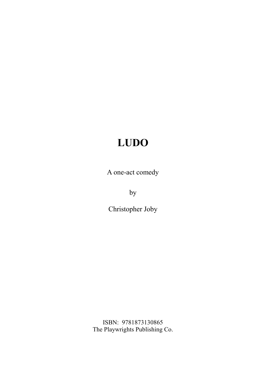A one-act comedy

by

Christopher Joby

ISBN: 9781873130865 The Playwrights Publishing Co.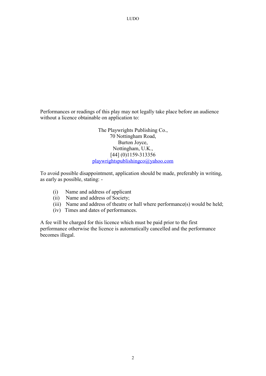Performances or readings of this play may not legally take place before an audience without a licence obtainable on application to:

> The Playwrights Publishing Co., 70 Nottingham Road, Burton Joyce, Nottingham, U.K., [44] (0)1159-313356 playwrightspublishingco@yahoo.com

To avoid possible disappointment, application should be made, preferably in writing, as early as possible, stating: -

- (i) Name and address of applicant
- (ii) Name and address of Society;
- (iii) Name and address of theatre or hall where performance(s) would be held;
- (iv) Times and dates of performances.

A fee will be charged for this licence which must be paid prior to the first performance otherwise the licence is automatically cancelled and the performance becomes illegal.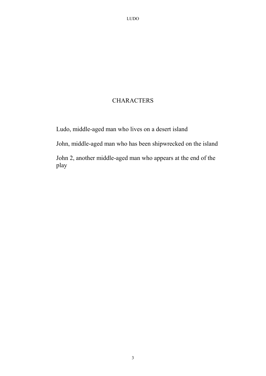### **CHARACTERS**

Ludo, middle-aged man who lives on a desert island

John, middle-aged man who has been shipwrecked on the island

John 2, another middle-aged man who appears at the end of the play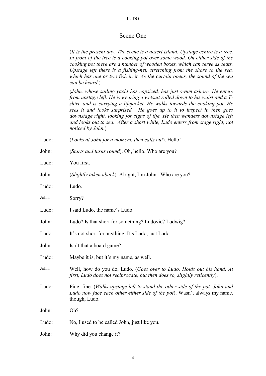## Scene One

|       | (It is the present day. The scene is a desert island. Upstage centre is a tree.<br>In front of the tree is a cooking pot over some wood. On either side of the<br>cooking pot there are a number of wooden boxes, which can serve as seats.<br>Upstage left there is a fishing-net, stretching from the shore to the sea,<br>which has one or two fish in it. As the curtain opens, the sound of the sea<br>can be heard.)                                                                         |  |  |  |
|-------|----------------------------------------------------------------------------------------------------------------------------------------------------------------------------------------------------------------------------------------------------------------------------------------------------------------------------------------------------------------------------------------------------------------------------------------------------------------------------------------------------|--|--|--|
|       | (John, whose sailing yacht has capsized, has just swum ashore. He enters<br>from upstage left. He is wearing a wetsuit rolled down to his waist and a T-<br>shirt, and is carrying a lifejacket. He walks towards the cooking pot. He<br>sees it and looks surprised. He goes up to it to inspect it, then goes<br>downstage right, looking for signs of life. He then wanders downstage left<br>and looks out to sea. After a short while, Ludo enters from stage right, not<br>noticed by John.) |  |  |  |
| Ludo: | (Looks at John for a moment, then calls out). Hello!                                                                                                                                                                                                                                                                                                                                                                                                                                               |  |  |  |
| John: | (Starts and turns round). Oh, hello. Who are you?                                                                                                                                                                                                                                                                                                                                                                                                                                                  |  |  |  |
| Ludo: | You first.                                                                                                                                                                                                                                                                                                                                                                                                                                                                                         |  |  |  |
| John: | (Slightly taken aback). Alright, I'm John. Who are you?                                                                                                                                                                                                                                                                                                                                                                                                                                            |  |  |  |
| Ludo: | Ludo.                                                                                                                                                                                                                                                                                                                                                                                                                                                                                              |  |  |  |
| John: | Sorry?                                                                                                                                                                                                                                                                                                                                                                                                                                                                                             |  |  |  |
| Ludo: | I said Ludo, the name's Ludo.                                                                                                                                                                                                                                                                                                                                                                                                                                                                      |  |  |  |
| John: | Ludo? Is that short for something? Ludovic? Ludwig?                                                                                                                                                                                                                                                                                                                                                                                                                                                |  |  |  |
| Ludo: | It's not short for anything. It's Ludo, just Ludo.                                                                                                                                                                                                                                                                                                                                                                                                                                                 |  |  |  |
| John: | Isn't that a board game?                                                                                                                                                                                                                                                                                                                                                                                                                                                                           |  |  |  |
| Ludo: | Maybe it is, but it's my name, as well.                                                                                                                                                                                                                                                                                                                                                                                                                                                            |  |  |  |
| John: | Well, how do you do, Ludo. (Goes over to Ludo. Holds out his hand. At<br>first, Ludo does not reciprocate, but then does so, slightly reticently).                                                                                                                                                                                                                                                                                                                                                 |  |  |  |
| Ludo: | Fine, fine. (Walks upstage left to stand the other side of the pot. John and<br>Ludo now face each other either side of the pot). Wasn't always my name,<br>though, Ludo.                                                                                                                                                                                                                                                                                                                          |  |  |  |
| John: | Oh?                                                                                                                                                                                                                                                                                                                                                                                                                                                                                                |  |  |  |
| Ludo: | No, I used to be called John, just like you.                                                                                                                                                                                                                                                                                                                                                                                                                                                       |  |  |  |
| John: | Why did you change it?                                                                                                                                                                                                                                                                                                                                                                                                                                                                             |  |  |  |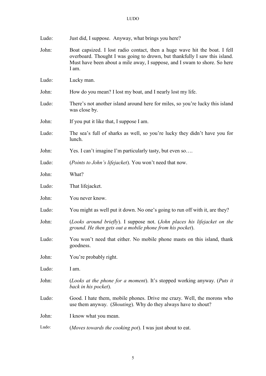| Ludo: | Just did, I suppose. Anyway, what brings you here?                                                                                                                                                                                             |  |  |  |  |
|-------|------------------------------------------------------------------------------------------------------------------------------------------------------------------------------------------------------------------------------------------------|--|--|--|--|
| John: | Boat capsized. I lost radio contact, then a huge wave hit the boat. I fell<br>overboard. Thought I was going to drown, but thankfully I saw this island.<br>Must have been about a mile away, I suppose, and I swam to shore. So here<br>I am. |  |  |  |  |
| Ludo: | Lucky man.                                                                                                                                                                                                                                     |  |  |  |  |
| John: | How do you mean? I lost my boat, and I nearly lost my life.                                                                                                                                                                                    |  |  |  |  |
| Ludo: | There's not another island around here for miles, so you're lucky this island<br>was close by.                                                                                                                                                 |  |  |  |  |
| John: | If you put it like that, I suppose I am.                                                                                                                                                                                                       |  |  |  |  |
| Ludo: | The sea's full of sharks as well, so you're lucky they didn't have you for<br>lunch.                                                                                                                                                           |  |  |  |  |
| John: | Yes. I can't imagine I'm particularly tasty, but even so                                                                                                                                                                                       |  |  |  |  |
| Ludo: | (Points to John's lifejacket). You won't need that now.                                                                                                                                                                                        |  |  |  |  |
| John: | What?                                                                                                                                                                                                                                          |  |  |  |  |
| Ludo: | That lifejacket.                                                                                                                                                                                                                               |  |  |  |  |
| John: | You never know.                                                                                                                                                                                                                                |  |  |  |  |
| Ludo: | You might as well put it down. No one's going to run off with it, are they?                                                                                                                                                                    |  |  |  |  |
| John: | (Looks around briefly). I suppose not. (John places his lifejacket on the<br>ground. He then gets out a mobile phone from his pocket).                                                                                                         |  |  |  |  |
| Ludo: | You won't need that either. No mobile phone masts on this island, thank<br>goodness.                                                                                                                                                           |  |  |  |  |
| John: | You're probably right.                                                                                                                                                                                                                         |  |  |  |  |
| Ludo: | I am.                                                                                                                                                                                                                                          |  |  |  |  |
| John: | (Looks at the phone for a moment). It's stopped working anyway. (Puts it<br>back in his pocket).                                                                                                                                               |  |  |  |  |
| Ludo: | Good. I hate them, mobile phones. Drive me crazy. Well, the morons who<br>use them anyway. (Shouting). Why do they always have to shout?                                                                                                       |  |  |  |  |
| John: | I know what you mean.                                                                                                                                                                                                                          |  |  |  |  |
| Ludo: | (Moves towards the cooking pot). I was just about to eat.                                                                                                                                                                                      |  |  |  |  |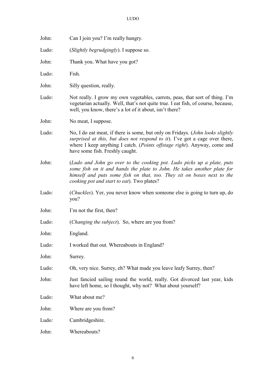| John: | Can I join you? I'm really hungry.                                                                                                                                                                                                                                                            |  |  |  |
|-------|-----------------------------------------------------------------------------------------------------------------------------------------------------------------------------------------------------------------------------------------------------------------------------------------------|--|--|--|
| Ludo: | (Slightly begrudgingly). I suppose so.                                                                                                                                                                                                                                                        |  |  |  |
| John: | Thank you. What have you got?                                                                                                                                                                                                                                                                 |  |  |  |
| Ludo: | Fish.                                                                                                                                                                                                                                                                                         |  |  |  |
| John: | Silly question, really.                                                                                                                                                                                                                                                                       |  |  |  |
| Ludo: | Not really. I grow my own vegetables, carrots, peas, that sort of thing. I'm<br>vegetarian actually. Well, that's not quite true. I eat fish, of course, because,<br>well, you know, there's a lot of it about, isn't there?                                                                  |  |  |  |
| John: | No meat, I suppose.                                                                                                                                                                                                                                                                           |  |  |  |
| Ludo: | No, I do eat meat, if there is some, but only on Fridays. ( <i>John looks slightly</i><br>surprised at this, but does not respond to it). I've got a cage over there,<br>where I keep anything I catch. ( <i>Points offstage right</i> ). Anyway, come and<br>have some fish. Freshly caught. |  |  |  |
| John: | (Ludo and John go over to the cooking pot. Ludo picks up a plate, puts<br>some fish on it and hands the plate to John. He takes another plate for<br>himself and puts some fish on that, too. They sit on boxes next to the<br>cooking pot and start to eat). Two plates?                     |  |  |  |
| Ludo: | ( <i>Chuckles</i> ). Yer, you never know when someone else is going to turn up, do<br>you?                                                                                                                                                                                                    |  |  |  |
| John: | I'm not the first, then?                                                                                                                                                                                                                                                                      |  |  |  |
| Ludo: | ( <i>Changing the subject</i> ). So, where are you from?                                                                                                                                                                                                                                      |  |  |  |
| John: | England.                                                                                                                                                                                                                                                                                      |  |  |  |
| Ludo: | I worked that out. Whereabouts in England?                                                                                                                                                                                                                                                    |  |  |  |
| John: | Surrey.                                                                                                                                                                                                                                                                                       |  |  |  |
| Ludo: | Oh, very nice. Surrey, eh? What made you leave leafy Surrey, then?                                                                                                                                                                                                                            |  |  |  |
| John: | Just fancied sailing round the world, really. Got divorced last year, kids<br>have left home, so I thought, why not? What about yourself?                                                                                                                                                     |  |  |  |
| Ludo: | What about me?                                                                                                                                                                                                                                                                                |  |  |  |
| John: | Where are you from?                                                                                                                                                                                                                                                                           |  |  |  |
| Ludo: | Cambridgeshire.                                                                                                                                                                                                                                                                               |  |  |  |
| John: | Whereabouts?                                                                                                                                                                                                                                                                                  |  |  |  |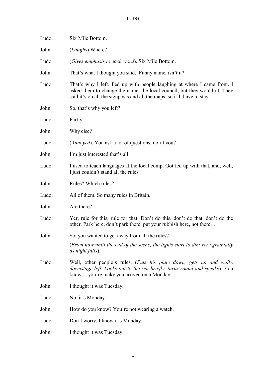| Ludo: | Six Mile Bottom.                                                                                                                                                                                                               |  |  |  |  |
|-------|--------------------------------------------------------------------------------------------------------------------------------------------------------------------------------------------------------------------------------|--|--|--|--|
| John: | ( <i>Laughs</i> ) Where?                                                                                                                                                                                                       |  |  |  |  |
| Ludo: | <i>(Gives emphasis to each word)</i> . Six Mile Bottom.                                                                                                                                                                        |  |  |  |  |
| John: | That's what I thought you said. Funny name, isn't it?                                                                                                                                                                          |  |  |  |  |
| Ludo: | That's why I left. Fed up with people laughing at where I came from. I<br>asked them to change the name, the local council, but they wouldn't. They<br>said it's on all the signposts and all the maps, so it'll have to stay. |  |  |  |  |
| John: | So, that's why you left?                                                                                                                                                                                                       |  |  |  |  |
| Ludo: | Partly.                                                                                                                                                                                                                        |  |  |  |  |
| John: | Why else?                                                                                                                                                                                                                      |  |  |  |  |
| Ludo: | ( <i>Annoyed</i> ). You ask a lot of questions, don't you?                                                                                                                                                                     |  |  |  |  |
| John: | I'm just interested that's all.                                                                                                                                                                                                |  |  |  |  |
| Ludo: | I used to teach languages at the local comp. Got fed up with that, and, well,<br>I just couldn't stand all the rules.                                                                                                          |  |  |  |  |
| John: | Rules? Which rules?                                                                                                                                                                                                            |  |  |  |  |
| Ludo: | All of them. So many rules in Britain.                                                                                                                                                                                         |  |  |  |  |
| John: | Are there?                                                                                                                                                                                                                     |  |  |  |  |
| Ludo: | Yer, rule for this, rule for that. Don't do this, don't do that, don't do the<br>other. Park here, don't park there, put your rubbish here, not there                                                                          |  |  |  |  |
| John: | So, you wanted to get away from all the rules?                                                                                                                                                                                 |  |  |  |  |
|       | (From now until the end of the scene, the lights start to dim very gradually<br>as night falls).                                                                                                                               |  |  |  |  |
| Ludo: | Well, other people's rules. (Puts his plate down, gets up and walks<br>downstage left. Looks out to the sea briefly, turns round and speaks). You<br>know you're lucky you arrived on a Monday.                                |  |  |  |  |
| John: | I thought it was Tuesday.                                                                                                                                                                                                      |  |  |  |  |
| Ludo: | No, it's Monday.                                                                                                                                                                                                               |  |  |  |  |
| John: | How do you know? You're not wearing a watch.                                                                                                                                                                                   |  |  |  |  |
| Ludo: | Don't worry, I know it's Monday.                                                                                                                                                                                               |  |  |  |  |
| John: | I thought it was Tuesday.                                                                                                                                                                                                      |  |  |  |  |
|       |                                                                                                                                                                                                                                |  |  |  |  |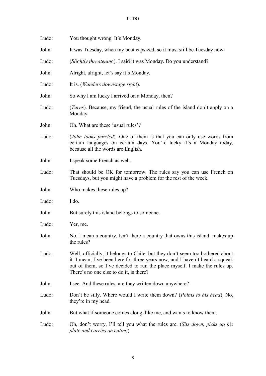| Ludo: | You thought wrong. It's Monday.                                                                                                                                                                                                                                                        |  |  |  |
|-------|----------------------------------------------------------------------------------------------------------------------------------------------------------------------------------------------------------------------------------------------------------------------------------------|--|--|--|
| John: | It was Tuesday, when my boat capsized, so it must still be Tuesday now.                                                                                                                                                                                                                |  |  |  |
| Ludo: | (Slightly threatening). I said it was Monday. Do you understand?                                                                                                                                                                                                                       |  |  |  |
| John: | Alright, alright, let's say it's Monday.                                                                                                                                                                                                                                               |  |  |  |
| Ludo: | It is. ( <i>Wanders downstage right</i> ).                                                                                                                                                                                                                                             |  |  |  |
| John: | So why I am lucky I arrived on a Monday, then?                                                                                                                                                                                                                                         |  |  |  |
| Ludo: | ( <i>Turns</i> ). Because, my friend, the usual rules of the island don't apply on a<br>Monday.                                                                                                                                                                                        |  |  |  |
| John: | Oh. What are these 'usual rules'?                                                                                                                                                                                                                                                      |  |  |  |
| Ludo: | ( <i>John looks puzzled</i> ). One of them is that you can only use words from<br>certain languages on certain days. You're lucky it's a Monday today,<br>because all the words are English.                                                                                           |  |  |  |
| John: | I speak some French as well.                                                                                                                                                                                                                                                           |  |  |  |
| Ludo: | That should be OK for tomorrow. The rules say you can use French on<br>Tuesdays, but you might have a problem for the rest of the week.                                                                                                                                                |  |  |  |
| John: | Who makes these rules up?                                                                                                                                                                                                                                                              |  |  |  |
| Ludo: | I do.                                                                                                                                                                                                                                                                                  |  |  |  |
| John: | But surely this island belongs to someone.                                                                                                                                                                                                                                             |  |  |  |
| Ludo: | Yer, me.                                                                                                                                                                                                                                                                               |  |  |  |
| John: | No, I mean a country. Isn't there a country that owns this island; makes up<br>the rules?                                                                                                                                                                                              |  |  |  |
| Ludo: | Well, officially, it belongs to Chile, but they don't seem too bothered about<br>it. I mean, I've been here for three years now, and I haven't heard a squeak<br>out of them, so I've decided to run the place myself. I make the rules up.<br>There's no one else to do it, is there? |  |  |  |
| John: | I see. And these rules, are they written down anywhere?                                                                                                                                                                                                                                |  |  |  |
| Ludo: | Don't be silly. Where would I write them down? ( <i>Points to his head</i> ). No,<br>they're in my head.                                                                                                                                                                               |  |  |  |
| John: | But what if someone comes along, like me, and wants to know them.                                                                                                                                                                                                                      |  |  |  |
| Ludo: | Oh, don't worry, I'll tell you what the rules are. (Sits down, picks up his<br>plate and carries on eating).                                                                                                                                                                           |  |  |  |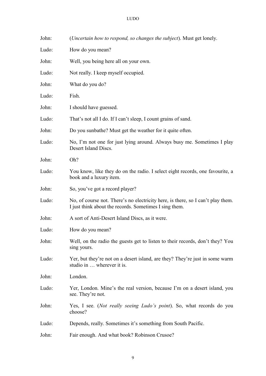| John: | (Uncertain how to respond, so changes the subject). Must get lonely.                                                                      |
|-------|-------------------------------------------------------------------------------------------------------------------------------------------|
| Ludo: | How do you mean?                                                                                                                          |
| John: | Well, you being here all on your own.                                                                                                     |
| Ludo: | Not really. I keep myself occupied.                                                                                                       |
| John: | What do you do?                                                                                                                           |
| Ludo: | Fish.                                                                                                                                     |
| John: | I should have guessed.                                                                                                                    |
| Ludo: | That's not all I do. If I can't sleep, I count grains of sand.                                                                            |
| John: | Do you sunbathe? Must get the weather for it quite often.                                                                                 |
| Ludo: | No, I'm not one for just lying around. Always busy me. Sometimes I play<br>Desert Island Discs.                                           |
| John: | Oh?                                                                                                                                       |
| Ludo: | You know, like they do on the radio. I select eight records, one favourite, a<br>book and a luxury item.                                  |
| John: | So, you've got a record player?                                                                                                           |
| Ludo: | No, of course not. There's no electricity here, is there, so I can't play them.<br>I just think about the records. Sometimes I sing them. |
| John: | A sort of Anti-Desert Island Discs, as it were.                                                                                           |
| Ludo: | How do you mean?                                                                                                                          |
| John: | Well, on the radio the guests get to listen to their records, don't they? You<br>sing yours.                                              |
| Ludo: | Yer, but they're not on a desert island, are they? They're just in some warm<br>studio in  wherever it is.                                |
| John: | London.                                                                                                                                   |
| Ludo: | Yer, London. Mine's the real version, because I'm on a desert island, you<br>see. They're not.                                            |
| John: | Yes, I see. ( <i>Not really seeing Ludo's point</i> ). So, what records do you<br>choose?                                                 |
| Ludo: | Depends, really. Sometimes it's something from South Pacific.                                                                             |
| John: | Fair enough. And what book? Robinson Crusoe?                                                                                              |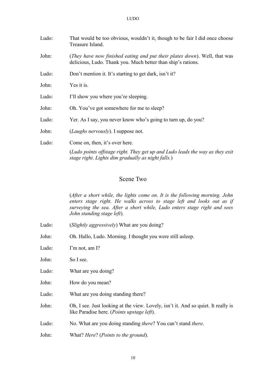| Ludo: | That would be too obvious, wouldn't it, though to be fair I did once choose<br>Treasure Island.                                           |
|-------|-------------------------------------------------------------------------------------------------------------------------------------------|
| John: | (They have now finished eating and put their plates down). Well, that was<br>delicious, Ludo. Thank you. Much better than ship's rations. |
| Ludo: | Don't mention it. It's starting to get dark, isn't it?                                                                                    |
| John: | Yes it is.                                                                                                                                |
| Ludo: | I'll show you where you're sleeping.                                                                                                      |
| John: | Oh. You've got somewhere for me to sleep?                                                                                                 |
| Ludo: | Yer. As I say, you never know who's going to turn up, do you?                                                                             |
| John: | ( <i>Laughs nervously</i> ). I suppose not.                                                                                               |
| Ludo: | Come on, then, it's over here.                                                                                                            |
|       | (Ludo points offstage right. They get up and Ludo leads the way as they exit<br>stage right. Lights dim gradually as night falls.)        |

#### Scene Two

(*After a short while, the lights come on. It is the following morning. John enters stage right. He walks across to stage left and looks out as if surveying the sea. After a short while, Ludo enters stage right and sees John standing stage left*).

Ludo: (*Slightly aggressively*) What are you doing?

John: Oh. Hallo, Ludo. Morning. I thought you were still asleep.

Ludo: I'm not, am I?

John: So I see.

Ludo: What are you doing?

John: How do you mean?

Ludo: What are you doing standing there?

John: Oh, I see. Just looking at the view. Lovely, isn't it. And so quiet. It really is like Paradise here. (*Points upstage left*).

Ludo: No. What are you doing standing *there*? You can't stand *there*.

John: What? *Here*? (*Points to the ground*).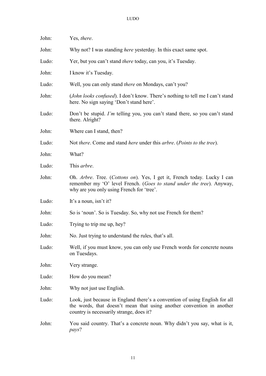| John: | Yes, there.                                                                                                                                                                                      |  |  |  |
|-------|--------------------------------------------------------------------------------------------------------------------------------------------------------------------------------------------------|--|--|--|
| John: | Why not? I was standing <i>here</i> yesterday. In this exact same spot.                                                                                                                          |  |  |  |
| Ludo: | Yer, but you can't stand <i>there</i> today, can you, it's Tuesday.                                                                                                                              |  |  |  |
| John: | I know it's Tuesday.                                                                                                                                                                             |  |  |  |
| Ludo: | Well, you can only stand <i>there</i> on Mondays, can't you?                                                                                                                                     |  |  |  |
| John: | (John looks confused). I don't know. There's nothing to tell me I can't stand<br>here. No sign saying 'Don't stand here'.                                                                        |  |  |  |
| Ludo: | Don't be stupid. I'm telling you, you can't stand there, so you can't stand<br>there. Alright?                                                                                                   |  |  |  |
| John: | Where can I stand, then?                                                                                                                                                                         |  |  |  |
| Ludo: | Not there. Come and stand here under this arbre. (Points to the tree).                                                                                                                           |  |  |  |
| John: | What?                                                                                                                                                                                            |  |  |  |
| Ludo: | This arbre.                                                                                                                                                                                      |  |  |  |
| John: | Oh. Arbre. Tree. (Cottons on). Yes, I get it, French today. Lucky I can<br>remember my 'O' level French. (Goes to stand under the tree). Anyway,<br>why are you only using French for 'tree'.    |  |  |  |
| Ludo: | It's a noun, isn't it?                                                                                                                                                                           |  |  |  |
| John: | So is 'noun'. So is Tuesday. So, why not use French for them?                                                                                                                                    |  |  |  |
| Ludo: | Trying to trip me up, hey?                                                                                                                                                                       |  |  |  |
| John: | No. Just trying to understand the rules, that's all.                                                                                                                                             |  |  |  |
| Ludo: | Well, if you must know, you can only use French words for concrete nouns<br>on Tuesdays.                                                                                                         |  |  |  |
| John: | Very strange.                                                                                                                                                                                    |  |  |  |
| Ludo: | How do you mean?                                                                                                                                                                                 |  |  |  |
| John: | Why not just use English.                                                                                                                                                                        |  |  |  |
| Ludo: | Look, just because in England there's a convention of using English for all<br>the words, that doesn't mean that using another convention in another<br>country is necessarily strange, does it? |  |  |  |
| John: | You said country. That's a concrete noun. Why didn't you say, what is it,<br>pays?                                                                                                               |  |  |  |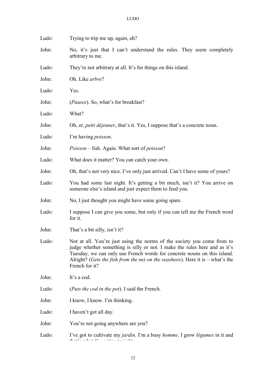| Ludo: | Trying to trip me up, again, eh?                                                                                                                                                                                                                                                                                                        |  |  |  |
|-------|-----------------------------------------------------------------------------------------------------------------------------------------------------------------------------------------------------------------------------------------------------------------------------------------------------------------------------------------|--|--|--|
| John: | No, it's just that I can't understand the rules. They seem completely<br>arbitrary to me.                                                                                                                                                                                                                                               |  |  |  |
| Ludo: | They're not arbitrary at all. It's for things on this island.                                                                                                                                                                                                                                                                           |  |  |  |
| John: | Oh. Like arbre?                                                                                                                                                                                                                                                                                                                         |  |  |  |
| Ludo: | Yes.                                                                                                                                                                                                                                                                                                                                    |  |  |  |
| John: | ( <i>Pauses</i> ). So, what's for breakfast?                                                                                                                                                                                                                                                                                            |  |  |  |
| Ludo: | What?                                                                                                                                                                                                                                                                                                                                   |  |  |  |
| John: | Oh, er, <i>petit déjeuner</i> , that's it. Yes, I suppose that's a concrete noun.                                                                                                                                                                                                                                                       |  |  |  |
| Ludo: | I'm having <i>poisson</i> .                                                                                                                                                                                                                                                                                                             |  |  |  |
| John: | <i>Poisson</i> – fish. Again. What sort of <i>poisson</i> ?                                                                                                                                                                                                                                                                             |  |  |  |
| Ludo: | What does it matter? You can catch your own.                                                                                                                                                                                                                                                                                            |  |  |  |
| John: | Oh, that's not very nice. I've only just arrived. Can't I have some of yours?                                                                                                                                                                                                                                                           |  |  |  |
| Ludo: | You had some last night. It's getting a bit much, isn't it? You arrive on<br>someone else's island and just expect them to feed you.                                                                                                                                                                                                    |  |  |  |
| John: | No, I just thought you might have some going spare.                                                                                                                                                                                                                                                                                     |  |  |  |
| Ludo: | I suppose I can give you some, but only if you can tell me the French word<br>for it.                                                                                                                                                                                                                                                   |  |  |  |
| John: | That's a bit silly, isn't it?                                                                                                                                                                                                                                                                                                           |  |  |  |
| Ludo: | Not at all. You're just using the norms of the society you come from to<br>judge whether something is silly or not. I make the rules here and as it's<br>Tuesday, we can only use French words for concrete nouns on this island.<br>Alright? (Gets the fish from the net on the seashore). Here it is $-$ what's the<br>French for it? |  |  |  |
| John: | It's a cod.                                                                                                                                                                                                                                                                                                                             |  |  |  |
| Ludo: | ( <i>Puts the cod in the pot</i> ). I said the French.                                                                                                                                                                                                                                                                                  |  |  |  |
| John: | I know, I know. I'm thinking.                                                                                                                                                                                                                                                                                                           |  |  |  |
| Ludo: | I haven't got all day.                                                                                                                                                                                                                                                                                                                  |  |  |  |
| John: | You're not going anywhere are you?                                                                                                                                                                                                                                                                                                      |  |  |  |
| Ludo: | I've got to cultivate my <i>jardin</i> . I'm a busy <i>homme</i> . I grow <i>légumes</i> in it and                                                                                                                                                                                                                                      |  |  |  |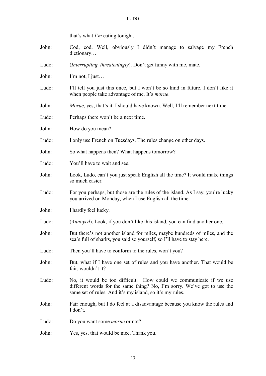that's what *I'm* eating tonight.

- John: Cod, cod. Well, obviously I didn't manage to salvage my French dictionary…
- Ludo: (*Interrupting, threateningly*). Don't get funny with me, mate.
- John: I'm not, I just...
- Ludo: I'll tell you just this once, but I won't be so kind in future. I don't like it when people take advantage of me. It's *morue*.
- John: *Morue*, yes, that's it. I should have known. Well, I'll remember next time.
- Ludo: Perhaps there won't be a next time.
- John: How do you mean?
- Ludo: I only use French on Tuesdays. The rules change on other days.
- John: So what happens then? What happens tomorrow?
- Ludo: You'll have to wait and see.
- John: Look, Ludo, can't you just speak English all the time? It would make things so much easier.
- Ludo: For you perhaps, but those are the rules of the island. As I say, you're lucky you arrived on Monday, when I use English all the time.
- John: I hardly feel lucky.
- Ludo: (*Annoyed*). Look, if you don't like this island, you can find another one.
- John: But there's not another island for miles, maybe hundreds of miles, and the sea's full of sharks, you said so yourself, so I'll have to stay here.
- Ludo: Then you'll have to conform to the rules, won't you?
- John: But, what if I have one set of rules and you have another. That would be fair, wouldn't it?
- Ludo: No, it would be too difficult. How could we communicate if we use different words for the same thing? No, I'm sorry. We've got to use the same set of rules. And it's my island, so it's my rules.
- John: Fair enough, but I do feel at a disadvantage because you know the rules and I don't.
- Ludo: Do you want some *morue* or not?
- John: Yes, yes, that would be nice. Thank you.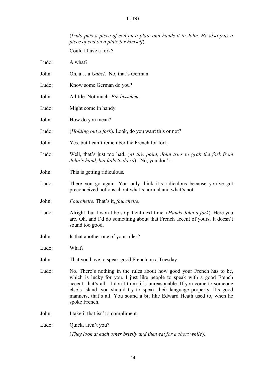(*Ludo puts a piece of cod on a plate and hands it to John. He also puts a piece of cod on a plate for himself*).

Could I have a fork?

Ludo: A what?

John: Oh, a… a *Gabel*. No, that's German.

- Ludo: Know some German do you?
- John: A little. Not much. *Ein bisschen*.
- Ludo: Might come in handy.
- John: How do you mean?
- Ludo: (*Holding out a fork*). Look, do you want this or not?
- John: Yes, but I can't remember the French for fork.
- Ludo: Well, that's just too bad. (*At this point, John tries to grab the fork from John's hand, but fails to do so*). No, you don't.
- John: This is getting ridiculous.
- Ludo: There you go again. You only think it's ridiculous because you've got preconceived notions about what's normal and what's not.
- John: *Fourchette*. That's it, *fourchette*.
- Ludo: Alright, but I won't be so patient next time. (*Hands John a fork*). Here you are. Oh, and I'd do something about that French accent of yours. It doesn't sound too good.
- John: Is that another one of your rules?

Ludo: What?

- John: That you have to speak good French on a Tuesday.
- Ludo: No. There's nothing in the rules about how good your French has to be, which is lucky for you. I just like people to speak with a good French accent, that's all. I don't think it's unreasonable. If you come to someone else's island, you should try to speak their language properly. It's good manners, that's all. You sound a bit like Edward Heath used to, when he spoke French.

John: I take it that isn't a compliment.

Ludo: Ouick, aren't you?

(*They look at each other briefly and then eat for a short while*).